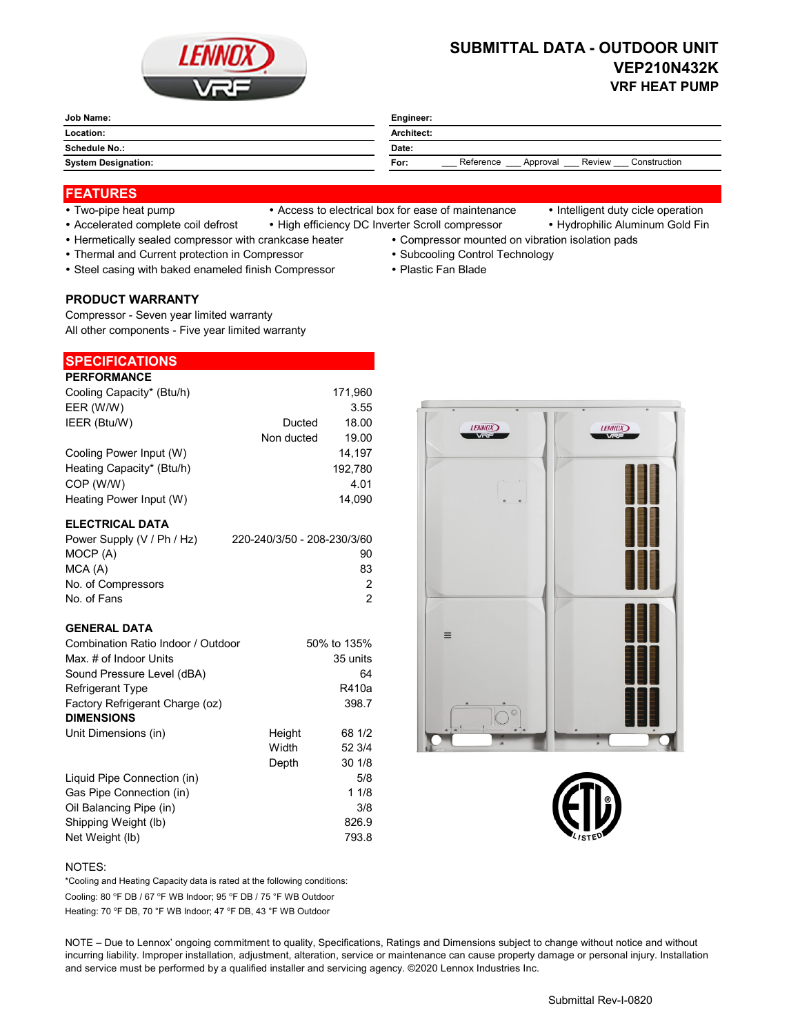

# **SUBMITTAL DATA - OUTDOOR UNIT VEP210N432K VRF HEAT PUMP**

| Job Name:<br>_______       | Engineer:                                               |  |  |
|----------------------------|---------------------------------------------------------|--|--|
| Location:                  | Architect:                                              |  |  |
| Schedule No.:              | Date:                                                   |  |  |
| <b>System Designation:</b> | Reference<br>Construction<br>Review<br>For:<br>Approval |  |  |

### **FEATURES**

- 
- Two-pipe heat pump Access to electrical box for ease of maintenance Intelligent duty cicle operation
	-
- Accelerated complete coil defrost High efficiency DC Inverter Scroll compressor Hydrophilic Aluminum Gold Fin
- Hermetically sealed compressor with crankcase heater Compressor mounted on vibration isolation pads
- Thermal and Current protection in Compressor **Subcooling Control Technology · Subcooling Control Technology** 
	-
- Steel casing with baked enameled finish Compressor Plastic Fan Blade
- **PRODUCT WARRANTY**

Compressor - Seven year limited warranty All other components - Five year limited warranty

## **SPECIFICATIONS**

| <b>PERFORMANCE</b>        |            |         |
|---------------------------|------------|---------|
| Cooling Capacity* (Btu/h) |            | 171.960 |
| EER (W/W)                 |            | 3.55    |
| IEER (Btu/W)              | Ducted     | 18.00   |
|                           | Non ducted | 19.00   |
| Cooling Power Input (W)   |            | 14.197  |
| Heating Capacity* (Btu/h) |            | 192,780 |
| COP (W/W)                 |            | 4.01    |
| Heating Power Input (W)   |            | 14.090  |

#### **ELECTRICAL DATA**

| Power Supply (V / Ph / Hz) | 220-240/3/50 - 208-230/3/60 |
|----------------------------|-----------------------------|
| MOCP (A)                   | 90                          |
| MCA (A)                    | 83                          |
| No. of Compressors         | 2                           |
| No. of Fans                | 2                           |

#### **GENERAL DATA**

| Combination Ratio Indoor / Outdoor |        | 50% to 135% |
|------------------------------------|--------|-------------|
| Max. # of Indoor Units             |        | 35 units    |
| Sound Pressure Level (dBA)         |        | 64          |
| <b>Refrigerant Type</b>            |        | R410a       |
| Factory Refrigerant Charge (oz)    |        | 398.7       |
| <b>DIMENSIONS</b>                  |        |             |
| Unit Dimensions (in)               | Height | 68 1/2      |
|                                    | Width  | 52 3/4      |
|                                    | Depth  | 301/8       |
| Liquid Pipe Connection (in)        |        | 5/8         |
| Gas Pipe Connection (in)           |        | 11/8        |
| Oil Balancing Pipe (in)            |        | 3/8         |
| Shipping Weight (lb)               |        | 826.9       |
| Net Weight (lb)                    |        | 793.8       |





#### NOTES:

Cooling: 80 °F DB / 67 °F WB Indoor; 95 °F DB / 75 °F WB Outdoor Heating: 70 °F DB, 70 °F WB Indoor; 47 °F DB, 43 °F WB Outdoor \*Cooling and Heating Capacity data is rated at the following conditions:

NOTE – Due to Lennox' ongoing commitment to quality, Specifications, Ratings and Dimensions subject to change without notice and without incurring liability. Improper installation, adjustment, alteration, service or maintenance can cause property damage or personal injury. Installation and service must be performed by a qualified installer and servicing agency. ©2020 Lennox Industries Inc.